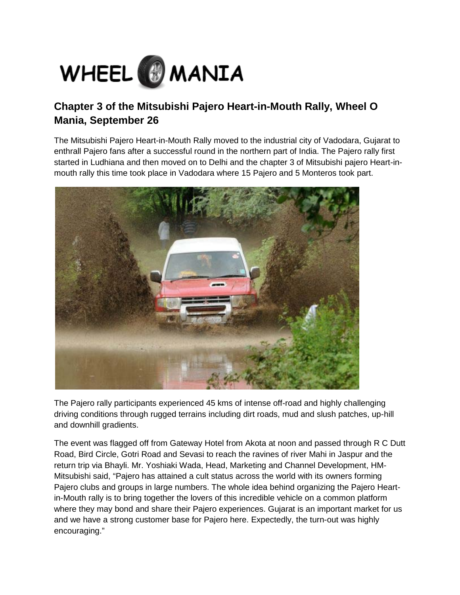

## **Chapter 3 of the Mitsubishi Pajero Heart-in-Mouth Rally, Wheel O Mania, September 26**

The Mitsubishi Pajero Heart-in-Mouth Rally moved to the industrial city of Vadodara, Gujarat to enthrall Pajero fans after a successful round in the northern part of India. The Pajero rally first started in Ludhiana and then moved on to Delhi and the chapter 3 of Mitsubishi pajero Heart-inmouth rally this time took place in Vadodara where 15 Pajero and 5 Monteros took part.



The Pajero rally participants experienced 45 kms of intense off-road and highly challenging driving conditions through rugged terrains including dirt roads, mud and slush patches, up-hill and downhill gradients.

The event was flagged off from Gateway Hotel from Akota at noon and passed through R C Dutt Road, Bird Circle, Gotri Road and Sevasi to reach the ravines of river Mahi in Jaspur and the return trip via Bhayli. Mr. Yoshiaki Wada, Head, Marketing and Channel Development, HM-Mitsubishi said, "Pajero has attained a cult status across the world with its owners forming Pajero clubs and groups in large numbers. The whole idea behind organizing the Pajero Heartin-Mouth rally is to bring together the lovers of this incredible vehicle on a common platform where they may bond and share their Pajero experiences. Gujarat is an important market for us and we have a strong customer base for Pajero here. Expectedly, the turn-out was highly encouraging."